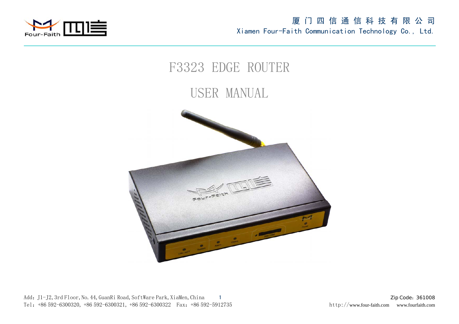



Add: J1-J2, 3rd Floor, No. 44, GuanRi Road, SoftWare Park, XiaMen, China 1 Zip Code:361008 Tel: +86 592-6300320, +86 592-6300321, +86 592-6300322 Fax: +86 592-5912735 http://www.four-faith.com www.fourfaith.com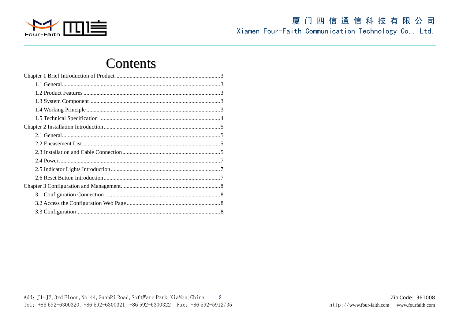

# **Contents**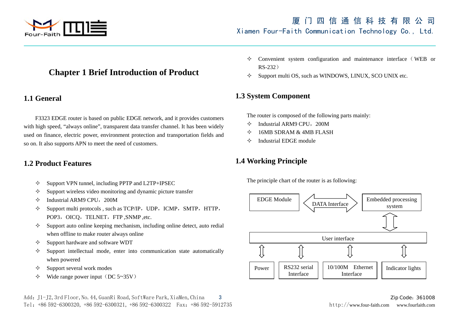

## **Chapter 1 Brief Introduction of Product**

## **1.1 General**

F3323 EDGE router is based on public EDGE network, and it provides customers with high speed, "always online", transparent data transfer channel. It has been widely used on finance, electric power, environment protection and transportation fields and so on. It also supports APN to meet the need of customers.

## **1.2 Product Features**

- $\leftrightarrow$ Support VPN tunnel, including PPTP and L2TP+IPSEC
- ✧ Support wireless video monitoring and dynamic picture transfer
- ✧ Industrial ARM9 CPU, 200M
- $\leftrightarrow$ Support multi protocols, such as TCP/IP, UDP, ICMP, SMTP, HTTP, POP3, OICQ, TELNET, FTP, SNMP, etc.
- $\leftrightarrow$  Support auto online keeping mechanism, including online detect, auto redial when offline to make router always online
- ✧ Support hardware and software WDT
- ✧ Support intellectual mode, enter into communication state automatically when powered
- ✧ Support several work modes
- ❖  $\div$  Wide range power input (DC 5~35V)
- $\leftrightarrow$ Convenient system configuration and maintenance interface (WEB or RS-232)
- ✧ Support multi OS, such as WINDOWS, LINUX, SCO UNIX etc.

## **1.3 System Component**

The router is composed of the following parts mainly:

- ✧ Industrial ARM9 CPU, 200M
- ✧ 16MB SDRAM & 4MB FLASH
- ❖ Industrial EDGE module

## **1.4 Working Principle**

The principle chart of the router is as following:

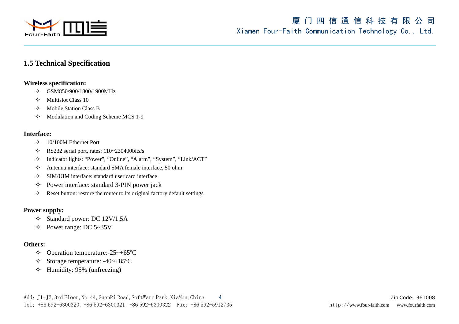

## **1.5 Technical Specification**

### **Wireless specification:**

- $\diamond$  GSM850/900/1800/1900MHz
- ♦ Multislot Class 10
- $\Diamond$  Mobile Station Class B
- $\rightsquigarrow$ Modulation and Coding Scheme MCS 1-9

### **Interface:**

- $\div$  10/100M Ethernet Port
- $\div$  RS232 serial port, rates: 110~230400bits/s
- $\diamondsuit$ Indicator lights: "Power", "Online", "Alarm", "System", "Link/ACT"
- ✧ Antenna interface: standard SMA female interface, 50 ohm
- $\rightsquigarrow$ SIM/UIM interface: standard user card interface
- $\diamondsuit$ Power interface: standard 3-PIN power jack
- ✧ Reset button: restore the router to its original factory default settings

### **Power supply:**

- $\div$  Standard power: DC 12V/1.5A
- $\div$  Power range: DC 5~35V

### **Others:**

- $\div$  Operation temperature:-25~+65 °C
- ✧ Storage temperature: -40~+85ºC
- ✧ Humidity: 95% (unfreezing)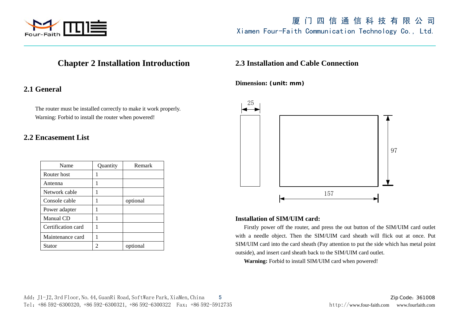

## **Chapter 2 Installation Introduction**

## **2.1 General**

The router must be installed correctly to make it work properly. Warning: Forbid to install the router when powered!

## **2.2 Encasement List**

| Name               | Quantity | Remark   |
|--------------------|----------|----------|
| Router host        |          |          |
| Antenna            | 1        |          |
| Network cable      |          |          |
| Console cable      |          | optional |
| Power adapter      | 1        |          |
| Manual CD          |          |          |
| Certification card | 1        |          |
| Maintenance card   |          |          |
| Stator             |          | optional |

### **2.3 Installation and Cable Connection**

**Dimension: (unit: mm)** 



### **Installation of SIM/UIM card:**

Firstly power off the router, and press the out button of the SIM/UIM card outlet with a needle object. Then the SIM/UIM card sheath will flick out at once. Put SIM/UIM card into the card sheath (Pay attention to put the side which has metal point outside), and insert card sheath back to the SIM/UIM card outlet.

**Warning:** Forbid to install SIM/UIM card when powered!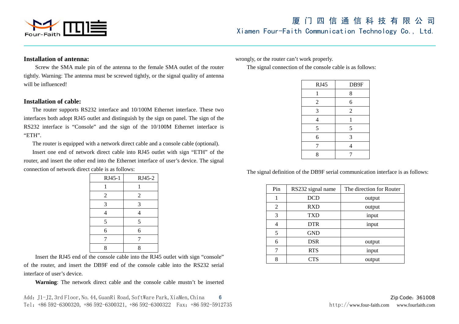

#### **Installation of antenna:**

Screw the SMA male pin of the antenna to the female SMA outlet of the router tightly. Warning: The antenna must be screwed tightly, or the signal quality of antenna will be influenced!

### **Installation of cable:**

The router supports RS232 interface and 10/100M Ethernet interface. These two interfaces both adopt RJ45 outlet and distinguish by the sign on panel. The sign of the RS232 interface is "Console" and the sign of the 10/100M Ethernet interface is "ETH".

The router is equipped with a network direct cable and a console cable (optional).

Insert one end of network direct cable into RJ45 outlet with sign "ETH" of the router, and insert the other end into the Ethernet interface of user's device. The signal connection of network direct cable is as follows:

| RJ45-1         | RJ45-2         |
|----------------|----------------|
| 1              | 1              |
| $\overline{2}$ | $\overline{2}$ |
| 3              | 3              |
| 4              | 4              |
| 5              | 5              |
| 6              | 6              |
| 7              | 7              |
| 8              | 8              |

Insert the RJ45 end of the console cable into the RJ45 outlet with sign "console" of the router, and insert the DB9F end of the console cable into the RS232 serial interface of user's device.

**Warning**: The network direct cable and the console cable mustn't be inserted

wrongly, or the router can't work properly.

The signal connection of the console cable is as follows:

| <b>RJ45</b>    | DB9F           |
|----------------|----------------|
|                | 8              |
| $\overline{2}$ | 6              |
| 3              | $\overline{2}$ |
| 4              | 1              |
| 5              | 5              |
| 6              | 3              |
| 7              | 4              |
| 8              |                |

The signal definition of the DB9F serial communication interface is as follows:

| Pin | RS232 signal name | The direction for Router |
|-----|-------------------|--------------------------|
|     |                   |                          |
| 1   | <b>DCD</b>        | output                   |
| 2   | <b>RXD</b>        | output                   |
| 3   | <b>TXD</b>        | input                    |
| 4   | <b>DTR</b>        | input                    |
| 5   | <b>GND</b>        |                          |
| 6   | <b>DSR</b>        | output                   |
| 7   | <b>RTS</b>        | input                    |
| 8   | ${\rm TTS}$       | output                   |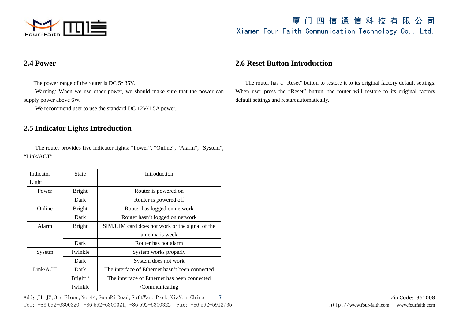

## **2.4 Power**

The power range of the router is DC 5 ~35V.

Warning: When we use other power, we should make sure that the power can supply power above 6W.

We recommend user to use the standard DC 12V/1.5A power.

## **2.5 Indicator Lights Introduction**

The router provides five indicator lights: "Power", "Online", "Alarm", "System", "Link/ACT".

| Indicator | <b>State</b>  | Introduction                                    |  |
|-----------|---------------|-------------------------------------------------|--|
| Light     |               |                                                 |  |
| Power     | <b>Bright</b> | Router is powered on                            |  |
|           | Dark          | Router is powered off                           |  |
| Online    | <b>Bright</b> | Router has logged on network                    |  |
|           | Dark          | Router hasn't logged on network                 |  |
| Alarm     | <b>Bright</b> | SIM/UIM card does not work or the signal of the |  |
|           |               | antenna is week                                 |  |
|           | Dark          | Router has not alarm                            |  |
| Sysetm    | Twinkle       | System works properly                           |  |
|           | Dark          | System does not work                            |  |
| Link/ACT  | Dark          | The interface of Ethernet hasn't been connected |  |
|           | Bright /      | The interface of Ethernet has been connected    |  |
|           | Twinkle       | /Communicating                                  |  |

Add: J1-J2, 3rd Floor, No. 44, GuanRi Road, SoftWare Park, XiaMen, China 7 Zip Contert and Table 201008 Zip Code: 361008 Tel: +86 592-6300320, +86 592-6300321, +86 592-6300322 Fax: +86 592-5912735 http://www.four-faith.com www.fourfaith.com

## **2.6 Reset Button Introduction**

The router has a "Reset" button to restore it to its original factory default settings. When user press the "Reset" button, the router will restore to its original factory default settings and restart automatically.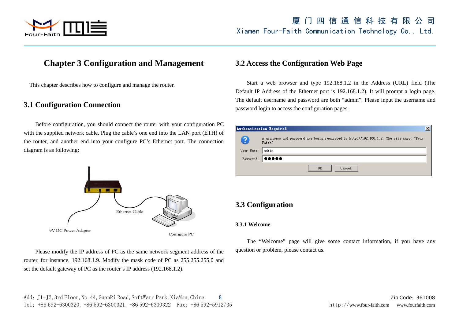

## **Chapter 3 Configuration and Management**

This chapter describes how to configure and manage the router.

### **3.1 Configuration Connection**

Before configuration, you should connect the router with your configuration PC with the supplied network cable. Plug the cable's one end into the LAN port (ETH) of the router, and another end into your configure PC's Ethernet port. The connection diagram is as following:



Please modify the IP address of PC as the same network segment address of the router, for instance, 192.168.1.9. Modify the mask code of PC as 255.255.255.0 and set the default gateway of PC as the router's IP address (192.168.1.2).

## **3.2 Access the Configuration Web Page**

Start a web browser and type 192.168.1.2 in the Address (URL) field (The Default IP Address of the Ethernet port is 192.168.1.2). It will prompt a login page. The default username and password are both "admin". Please input the username and password login to access the configuration pages.

|            | Authentication Required                                                                            |
|------------|----------------------------------------------------------------------------------------------------|
|            | A username and password are being requested by http://192.168.1.2. The site says: "Four-<br>Faith" |
| User Name: | l admin.                                                                                           |
|            | Password: 00000                                                                                    |
|            | Cancel<br>OΚ                                                                                       |

## **3.3 Configuration**

#### **3.3.1 Welcome**

The "Welcome" page will give some contact information, if you have any question or problem, please contact us.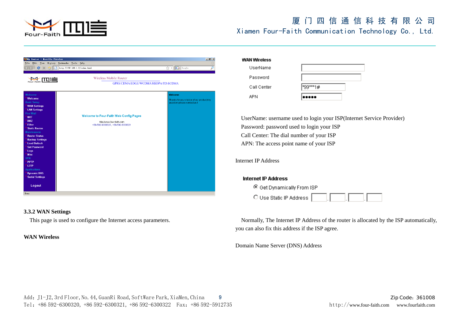

| <b>S</b> Bouter - Bozilla Firefox                                                                                                                                                                                                                                                                                                                                                                                                                        |                                                                                                         | F                                                                                    |
|----------------------------------------------------------------------------------------------------------------------------------------------------------------------------------------------------------------------------------------------------------------------------------------------------------------------------------------------------------------------------------------------------------------------------------------------------------|---------------------------------------------------------------------------------------------------------|--------------------------------------------------------------------------------------|
| Edit View<br>File<br>History                                                                                                                                                                                                                                                                                                                                                                                                                             | Bookmarks Tools Help                                                                                    |                                                                                      |
| $C \times C$                                                                                                                                                                                                                                                                                                                                                                                                                                             | http://192.168.1.2/index.html                                                                           | $\boxed{\mathbf{G}}$ + Google<br>₽<br>☆ ☆                                            |
| Four-Faith                                                                                                                                                                                                                                                                                                                                                                                                                                               | <b>Wireless Mobile Router</b><br>GPRS/CDMA/EDGE/WCDMA/HSDPA/TD-SCDMA                                    |                                                                                      |
| Welcome<br>Welcome<br><b>Basic Setup</b><br><b>WAN Settings</b><br><b>LAN Settings</b><br><b>Fire Wall</b><br><b>NAT</b><br><b>DMZ</b><br><b>Filter</b><br><b>Static Routes</b><br><b>Maintenance</b><br><b>Router Status</b><br><b>Backup Settings</b><br><b>Load Default</b><br><b>Set Password</b><br>Logs<br>Misc<br><b>VPN</b><br><b>PPTP</b><br>L <sub>2</sub> TP<br><b>Applications</b><br><b>Dynamic DNS</b><br><b>Serial Settings</b><br>Logout | Welcome to Four-Faith Web Config Pages<br>http://www.four-faith.com<br>+86-592-6300320, +86-592-6300321 | Welcome<br>Thanks for your choice of our product,Any<br>question please contact us I |
| Done                                                                                                                                                                                                                                                                                                                                                                                                                                                     |                                                                                                         |                                                                                      |

#### **3.3.2 WAN Settings**

This page is used to configure the Internet access parameters.

#### **WAN Wireless**

| <b>WAN Wireless</b> |       |  |
|---------------------|-------|--|
| UserName            |       |  |
| Password            |       |  |
| Call Center         | ***1# |  |
| APN                 |       |  |

UserName: username used to login your ISP(Internet Service Provider) Password: password used to login your ISP Call Center: The dial number of your ISP APN: The access point name of your ISP

#### Internet IP Address

#### **Internet IP Address**

© Get Dynamically From ISP

O Use Static IP Address

 Normally, The Internet IP Address of the router is allocated by the ISP automatically, you can also fix this address if the ISP agree.

Domain Name Server (DNS) Address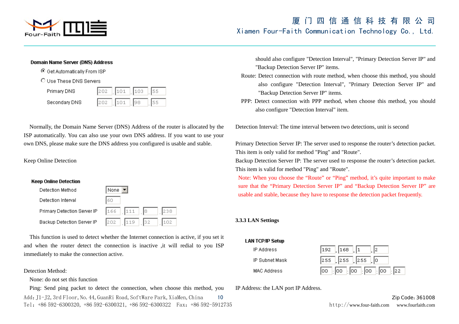

#### Domain Name Server (DNS) Address

© Get Automatically From ISP

#### O Use These DNS Servers

| Primary DNS   | 1202 | $\frac{1}{2}$ 101 $\frac{1}{2}$ 103 |  |
|---------------|------|-------------------------------------|--|
| Secondary DNS | 1202 | 101                                 |  |

Normally, the Domain Name Server (DNS) Address of the router is allocated by the ISP automatically. You can also use your own DNS address. If you want to use your own DNS, please make sure the DNS address you configured is usable and stable.

#### Keep Online Detection

#### **Keep Online Detection**



 This function is used to detect whether the Internet connection is active, if you set it and when the router detect the connection is inactive ,it will redial to you ISP immediately to make the connection active.

#### Detection Method:

None: do not set this function

Add: J1-J2, 3rd Floor, No. 44, GuanRi Road, SoftWare Park, XiaMen, China 10 Zip Code:361008 Ping: Send ping packet to detect the connection, when choose this method, you

Tel:+86 592-6300320, +86 592-6300321, +86 592-6300322 Fax:+86 592-5912735 http://www.four-faith.com www.fourfaith.com

should also configure "Detection Interval", "Primary Detection Server IP" and "Backup Detection Server IP" items.

- Route: Detect connection with route method, when choose this method, you should also configure "Detection Interval", "Primary Detection Server IP" and "Backup Detection Server IP" items.
- PPP: Detect connection with PPP method, when choose this method, you should also configure "Detection Interval" item.

Detection Interval: The time interval between two detections, unit is second

Primary Detection Server IP: The server used to response the router's detection packet. This item is only valid for method "Ping" and "Route".

Backup Detection Server IP: The server used to response the router's detection packet. This item is valid for method "Ping" and "Route".

Note: When you choose the "Route" or "Ping" method, it's quite important to make sure that the "Primary Detection Server IP" and "Backup Detection Server IP" are usable and stable, because they have to response the detection packet frequently.

#### **3.3.3 LAN Settings**





IP Address: the LAN port IP Address.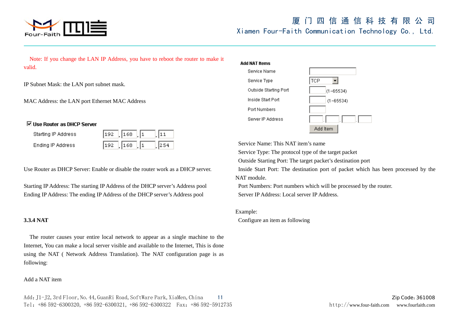

Note: If you change the LAN IP Address, you have to reboot the router to make it valid.

IP Subnet Mask: the LAN port subnet mask.

MAC Address: the LAN port Ethernet MAC Address

### ☑ Use Router as DHCP Server

| Starting IP Address |               |     |
|---------------------|---------------|-----|
| Ending IP Address   | $192$ 168 $1$ | 254 |

Use Router as DHCP Server: Enable or disable the router work as a DHCP server.

Starting IP Address: The starting IP Address of the DHCP server's Address pool Ending IP Address: The ending IP Address of the DHCP server's Address pool

### **3.3.4 NAT**

 The router causes your entire local network to appear as a single machine to the Internet, You can make a local server visible and available to the Internet, This is done using the NAT ( Network Address Translation). The NAT configuration page is as following:

#### Add a NAT item

#### Add NAT frems



Service Name: This NAT item's name

Service Type: The protocol type of the target packet

Outside Starting Port: The target packet's destination port

 Inside Start Port: The destination port of packet which has been processed by the NAT module.

 Port Numbers: Port numbers which will be processed by the router. Server IP Address: Local server IP Address.

#### Example:

Configure an item as following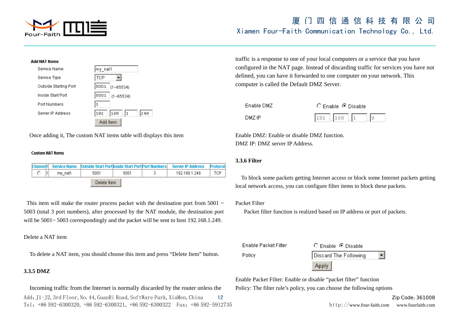

| Add NAT Items         |                         |
|-----------------------|-------------------------|
| Service Name          | my_nat1                 |
| Service Type          | <b>TCP</b>              |
| Outside Starting Port | 5001<br>$(1 - 65534)$   |
| Inside Start Port     | 5001<br>$(1 - 65534)$   |
| Port Numbers          | lз                      |
| Server IP Address     | 192<br>168<br>249<br>11 |
|                       | Add Item                |

Once adding it, The custom NAT items table will displays this item

#### **Custom NAT Items**

|  |  |         |             |      | Choose; Service Name Cutside Start PortInside Start PortIPort Numbers   Server IP Address | <b>Protocol</b> |
|--|--|---------|-------------|------|-------------------------------------------------------------------------------------------|-----------------|
|  |  | mv nat1 | 5001        | 5001 | 192.168.1.249                                                                             | TCP             |
|  |  |         | Delete Item |      |                                                                                           |                 |

This item will make the router process packet with the destination port from 5001  $\sim$ 5003 (total 3 port numbers), after processed by the NAT module, the destination port will be  $5001 \sim 5003$  correspondingly and the packet will be sent to host 192.168.1.249.

#### Delete a NAT item

To delete a NAT item, you should choose this item and press "Delete Item" button.

#### **3.3.5 DMZ**

Add: J1-J2, 3rd Floor, No. 44, GuanRi Road, SoftWare Park, XiaMen, China 12 Zip Code:361008 Tel:+86 592-6300320, +86 592-6300321, +86 592-6300322 Fax:+86 592-5912735 http://www.four-faith.com www.fourfaith.com Incoming traffic from the Internet is normally discarded by the router unless the

traffic is a response to one of your local computers or a service that you have configured in the NAT page. Instead of discarding traffic for services you have not defined, you can have it forwarded to one computer on your network. This computer is called the Default DMZ Server.

| Enable DMZ |  |
|------------|--|
| DMZ IP     |  |

|  | Enable $\,\odot$ Disable |  |  |
|--|--------------------------|--|--|
|  |                          |  |  |

Enable DMZ: Enable or disable DMZ function. DMZ IP: DMZ server IP Address.

#### **3.3.6 Filter**

 To block some packets getting Internet access or block some Internet packets getting local network access, you can configure filter items to block these packets.

#### Packet Filter

Packet filter function is realized based on IP address or port of packets.

**Enable Packet Filter** Policy

| $\bigcirc$ Enable $\bigcirc$ Disable |  |
|--------------------------------------|--|
| Discard The Following                |  |
|                                      |  |

Enable Packet Filter: Enable or disable "packet filter" function Policy: The filter rule's policy, you can choose the following options

Apply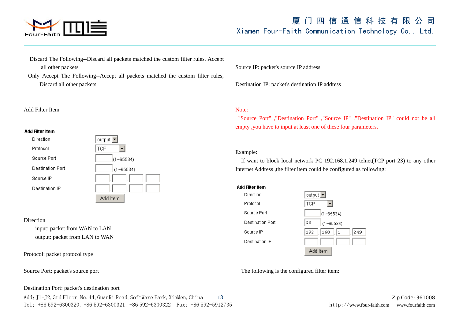

- Discard The Following--Discard all packets matched the custom filter rules, Accept all other packets
- Only Accept The Following--Accept all packets matched the custom filter rules, Discard all other packets

#### Add Filter Item

#### **Add Filter Item**



#### Direction

input: packet from WAN to LAN output: packet from LAN to WAN

Protocol: packet protocol type

Source Port: packet's source port

### Source IP: packet's source IP address

Destination IP: packet's destination IP address

#### Note:

"Source Port" ,"Destination Port" ,"Source IP" ,"Destination IP" could not be all empty ,you have to input at least one of these four parameters.

#### Example:

 If want to block local network PC 192.168.1.249 telnet(TCP port 23) to any other Internet Address ,the filter item could be configured as following:

#### **Add Filter Item** Direction output  $\blacktriangleright$ Protocol **TCP**  $\overline{\phantom{a}}$ Source Port  $(1 - 65534)$ **Destination Port** l2з  $(1 - 65534)$ Source IP 192  $|168|$ | |1 249 Destination IP Add Item

The following is the configured filter item:

#### Destination Port: packet's destination port

Add: J1-J2, 3rd Floor, No. 44, GuanRi Road, SoftWare Park, XiaMen, China 13 Zip Code:361008 Tel:+86 592-6300320, +86 592-6300321, +86 592-6300322 Fax:+86 592-5912735 http://www.four-faith.com www.fourfaith.com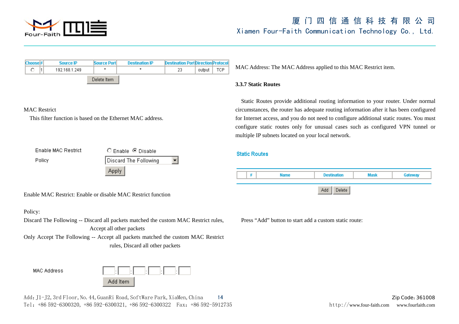

| Choose <sup>#</sup><br><b>Source IP</b><br>0.<br>192.168.1.249                                 | Source Port              | <b>Destination IP</b>                                | <b>Destination Port Direction Protocol</b><br>23<br>output | TCP                                                                                                                                                                                                                                                                                                                                                                                                               | MAC Address: The MAC Address applied to this MAC Restrict item.  |  |  |  |
|------------------------------------------------------------------------------------------------|--------------------------|------------------------------------------------------|------------------------------------------------------------|-------------------------------------------------------------------------------------------------------------------------------------------------------------------------------------------------------------------------------------------------------------------------------------------------------------------------------------------------------------------------------------------------------------------|------------------------------------------------------------------|--|--|--|
|                                                                                                | Delete Item              |                                                      |                                                            | <b>3.3.7 Static Routes</b>                                                                                                                                                                                                                                                                                                                                                                                        |                                                                  |  |  |  |
| <b>MAC</b> Restrict<br>This filter function is based on the Ethernet MAC address.              |                          |                                                      |                                                            | Static Routes provide additional routing information to your router. Under normal<br>circumstances, the router has adequate routing information after it has been configured<br>for Internet access, and you do not need to configure additional static routes. You must<br>configure static routes only for unusual cases such as configured VPN tunnel or<br>multiple IP subnets located on your local network. |                                                                  |  |  |  |
| <b>Enable MAC Restrict</b><br>Policy                                                           |                          | $O$ Enable $\Theta$ Disable<br>Discard The Following | ▾                                                          | <b>Static Routes</b>                                                                                                                                                                                                                                                                                                                                                                                              |                                                                  |  |  |  |
|                                                                                                |                          | <b>Apply</b>                                         |                                                            |                                                                                                                                                                                                                                                                                                                                                                                                                   | <b>Name</b><br><b>Destination</b><br>#<br><b>Mask</b><br>Gateway |  |  |  |
| Enable MAC Restrict: Enable or disable MAC Restrict function                                   |                          |                                                      |                                                            |                                                                                                                                                                                                                                                                                                                                                                                                                   | Delete<br>Add                                                    |  |  |  |
| Policy:<br>Discard The Following -- Discard all packets matched the custom MAC Restrict rules, | Accept all other packets |                                                      |                                                            | Press "Add" button to start add a custom static route:                                                                                                                                                                                                                                                                                                                                                            |                                                                  |  |  |  |
| Only Accept The Following -- Accept all packets matched the custom MAC Restrict                |                          | rules, Discard all other packets                     |                                                            |                                                                                                                                                                                                                                                                                                                                                                                                                   |                                                                  |  |  |  |
| <b>MAC Address</b>                                                                             | Add Item                 |                                                      |                                                            |                                                                                                                                                                                                                                                                                                                                                                                                                   |                                                                  |  |  |  |
| Add: J1-J2, 3rd Floor, No. 44, GuanRi Road, SoftWare Park, XiaMen, China                       |                          |                                                      |                                                            | Zip Code: 361008                                                                                                                                                                                                                                                                                                                                                                                                  |                                                                  |  |  |  |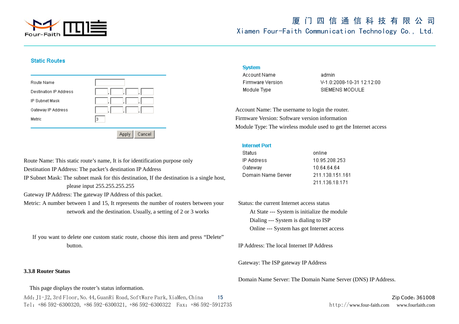

#### **Static Routes**

| Route Name<br><b>Destination IP Address</b><br>IP Subnet Mask | ٠       |
|---------------------------------------------------------------|---------|
| Gateway IP Address<br>Metric                                  | ٠<br>Iз |
|                                                               | Cancel  |

#### **System**

Account Name Firmware Version Module Type

admin V-1.0:2008-10-31 12:12:00 SIEMENS MODULE

Account Name: The username to login the router. Firmware Version: Software version information Module Type: The wireless module used to get the Internet access

#### **Internet Port**

| Status             | online         |
|--------------------|----------------|
| IP Address         | 10.95.208.253  |
| Gateway            | 10.64.64.64    |
| Domain Name Server | 211.138.151.16 |
|                    | 211.136.18.171 |

 Status: the current Internet access status At State --- System is initialize the module Dialing --- System is dialing to ISP Online --- System has got Internet access

IP Address: The local Internet IP Address

Gateway: The ISP gateway IP Address

Domain Name Server: The Domain Name Server (DNS) IP Address.

Route Name: This static route's name, It is for identification purpose only Destination IP Address: The packet's destination IP Address IP Subnet Mask: The subnet mask for this destination, If the destination is a single host, please input 255.255.255.255 Gateway IP Address: The gateway IP Address of this packet.

Metric: A number between 1 and 15, It represents the number of routers between your network and the destination. Usually, a setting of 2 or 3 works

 If you want to delete one custom static route, choose this item and press "Delete" button.

#### **3.3.8 Router Status**

This page displays the router's status information.

Add: J1-J2, 3rd Floor, No. 44, GuanRi Road, SoftWare Park, XiaMen, China 15 Zip Code:361008 Tel:+86 592-6300320, +86 592-6300321, +86 592-6300322 Fax:+86 592-5912735 http://www.four-faith.com www.fourfaith.com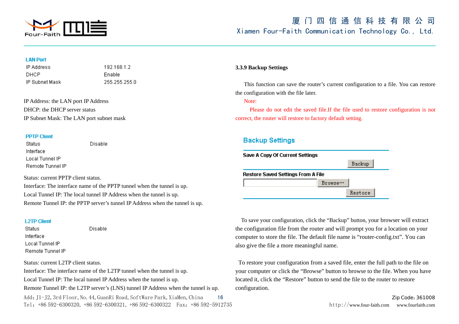

#### **LAN Port**

**IP Address** DHCP IP Subnet Mask 19216812 Enable 255.255.255.0

IP Address: the LAN port IP Address DHCP: the DHCP server status IP Subnet Mask: The LAN port subnet mask

#### **PPTP Client**

**Status** Interface Local Tunnel IP Remote Tunnel IP **Disable** 

Disable

Status: current PPTP client status.

Interface: The interface name of the PPTP tunnel when the tunnel is up. Local Tunnel IP: The local tunnel IP Address when the tunnel is up. Remote Tunnel IP: the PPTP server's tunnel IP Address when the tunnel is up.

#### **12TP Client**

**Status** Interface Local Tunnel IP Remote Tunnel IP

Status: current L2TP client status.

Add: J1-J2, 3rd Floor, No. 44, GuanRi Road, SoftWare Park, XiaMen, China 16 Zip Code:361008 Zip Code:361008 Tel:+86 592-6300320, +86 592-6300321, +86 592-6300322 Fax:+86 592-5912735 http://www.four-faith.com www.fourfaith.com Interface: The interface name of the L2TP tunnel when the tunnel is up. Local Tunnel IP: The local tunnel IP Address when the tunnel is up. Remote Tunnel IP: the L2TP server's (LNS) tunnel IP Address when the tunnel is up.

#### **3.3.9 Backup Settings**

 This function can save the router's current configuration to a file. You can restore the configuration with the file later.

Note:

 Please do not edit the saved file.If the file used to restore configuration is not correct, the router will restore to factory default setting.

### **Backup Settings**



 To save your configuration, click the "Backup" button, your browser will extract the configuration file from the router and will prompt you for a location on your computer to store the file. The default file name is "router-config.txt". You can also give the file a more meaningful name.

To restore your configuration from a saved file, enter the full path to the file on your computer or click the "Browse" button to browse to the file. When you have located it, click the "Restore" button to send the file to the router to restore configuration.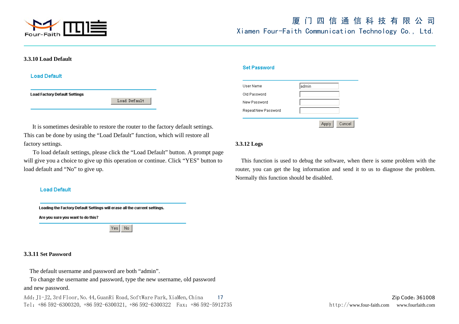

#### **3.3.10 Load Default**

**Load Default** 

**Load Factory Default Settings** 

Load Default

#### **Set Password**

| User Name           | admin           |
|---------------------|-----------------|
| Old Password        |                 |
| New Password        |                 |
| Repeat New Password |                 |
|                     | Cancel<br>Apply |

It is sometimes desirable to restore the router to the factory default settings. This can be done by using the "Load Default" function, which will restore all factory settings.

 To load default settings, please click the "Load Default" button. A prompt page will give you a choice to give up this operation or continue. Click "YES" button to load default and "No" to give up.

#### **Load Default**

Loading the Factory Default Settings will erase all the current settings.

Are you sure you want to do this?

 $Yes | No$ 

#### **3.3.11 Set Password**

The default username and password are both "admin".

 To change the username and password, type the new username, old password and new password.

Add: J1-J2, 3rd Floor, No. 44, GuanRi Road, SoftWare Park, XiaMen, China 17 Zip Code:361008 Tel:+86 592-6300320, +86 592-6300321, +86 592-6300322 Fax:+86 592-5912735 http://www.four-faith.com www.fourfaith.com

### **3.3.12 Logs**

 This function is used to debug the software, when there is some problem with the router, you can get the log information and send it to us to diagnose the problem. Normally this function should be disabled.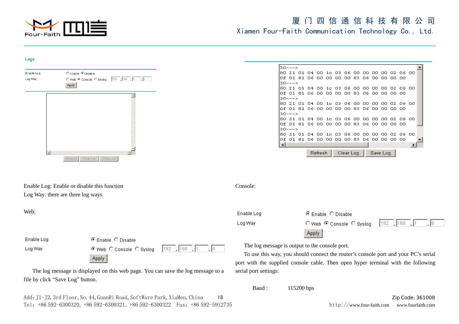

port with the supplied console cable. Then open hyper terminal with the following

#### Logs

|                      |                                             |                    | l30--->                                                                                                            |                         |  |           |  |          |  |        |  |
|----------------------|---------------------------------------------|--------------------|--------------------------------------------------------------------------------------------------------------------|-------------------------|--|-----------|--|----------|--|--------|--|
| Enable Log           | C Enable C Disable                          |                    | 80 21 01 04 00 1c 03 06 00 00 00 00 02 06 00                                                                       |                         |  |           |  |          |  |        |  |
| Log Way              | O Web © Console O Syslog 192 168 1          |                    | lo£ 01 81 06 00 00 00 00 83 06 00 00 00 00                                                                         |                         |  |           |  |          |  |        |  |
|                      | Apply                                       |                    | l30–––>                                                                                                            |                         |  |           |  |          |  |        |  |
|                      |                                             |                    | 80 21 01 04 00 1c 03 06 00 00 00 00 02 06 00                                                                       |                         |  |           |  |          |  |        |  |
|                      |                                             |                    | Of 01 81 06 00 00 00 00 83 06 00 00 00 00                                                                          |                         |  |           |  |          |  |        |  |
|                      |                                             |                    | l30--->                                                                                                            |                         |  |           |  |          |  |        |  |
|                      |                                             |                    | 80 21 01 04 00 1c 03 06 00 00 00 00 02 06 00                                                                       |                         |  |           |  |          |  |        |  |
|                      |                                             |                    | lo£ 01 81 06 00 00 00 00 83 06 00 00 00 00                                                                         |                         |  |           |  |          |  |        |  |
|                      |                                             |                    | l30–––>                                                                                                            |                         |  |           |  |          |  |        |  |
|                      |                                             |                    | 80 21 01 04 00 1c 03 06 00 00 00 00 02 06 00                                                                       |                         |  |           |  |          |  |        |  |
|                      |                                             |                    | Of 01 81 06 00 00 00 00 83 06 00 00 00 00                                                                          |                         |  |           |  |          |  |        |  |
|                      |                                             |                    | l30--->                                                                                                            |                         |  |           |  |          |  |        |  |
|                      |                                             |                    | 80 21 01 04 00 1c 03 06 00 00 00 00 02 06 00<br>Of 01 81 06 00 00 00 00 83 06 00 00 00 00                          |                         |  |           |  |          |  |        |  |
|                      |                                             |                    | ∣⊣∣                                                                                                                |                         |  |           |  |          |  |        |  |
|                      |                                             |                    |                                                                                                                    |                         |  |           |  |          |  |        |  |
| $\blacktriangleleft$ |                                             |                    |                                                                                                                    | <b>Refresh</b>          |  | Clear Log |  | Save Log |  |        |  |
|                      | Clear Log Save Log<br>Refresh               |                    |                                                                                                                    |                         |  |           |  |          |  |        |  |
|                      |                                             |                    |                                                                                                                    |                         |  |           |  |          |  |        |  |
|                      | Enable Log: Enable or disable this function | Console:           |                                                                                                                    |                         |  |           |  |          |  |        |  |
|                      | Log Way: there are three log ways           |                    |                                                                                                                    |                         |  |           |  |          |  |        |  |
| Web:                 |                                             | Enable Log         |                                                                                                                    | © Enable C Disable      |  |           |  |          |  |        |  |
|                      |                                             |                    |                                                                                                                    |                         |  |           |  |          |  |        |  |
|                      |                                             | Log Way            |                                                                                                                    | ○Web © Console ○ Syslog |  |           |  | 192      |  | .  168 |  |
|                      |                                             |                    |                                                                                                                    | <b>Apply</b>            |  |           |  |          |  |        |  |
| Enable Log           | ⊙ Enable O Disable                          |                    |                                                                                                                    |                         |  |           |  |          |  |        |  |
| Log Way              | ⊙Web C Console C Syslog                     | $192$   168<br>19. | The log message is output to the console port.                                                                     |                         |  |           |  |          |  |        |  |
|                      |                                             |                    | To use this way, you should connect the router's console port and your PC's serial                                 |                         |  |           |  |          |  |        |  |
|                      | <b>Apply</b>                                |                    | وسينتجع المناوعة والمناول والمستحين ووسطت والمعاون والمتحدث والمتحدث والمحافظ والمستحدث والمناول والمناوب والمراجع |                         |  |           |  |          |  |        |  |

serial port settings:

Baud : 115200 bps

The log message is displayed on this web page. You can save the log message to a file by click "Save Log" button.

Add: J1-J2, 3rd Floor, No. 44, GuanRi Road, SoftWare Park, XiaMen, China 18 Zip Code:361008 Tel:+86 592-6300320, +86 592-6300321, +86 592-6300322 Fax:+86 592-5912735 http://www.four-faith.com www.fourfaith.com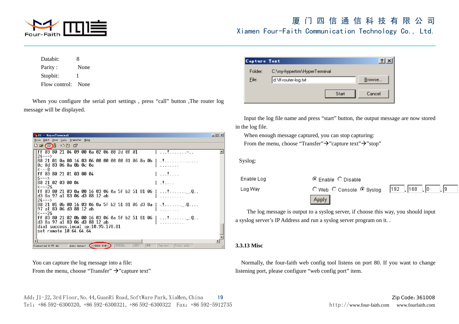

| Databit:      | 8    |
|---------------|------|
| Parity:       | None |
| Stopbit:      |      |
| Flow control: | None |

When you configure the serial port settings , press "call" button ,The router log message will be displayed.

| $if = HyperTerminal$                                                                                                            | $  D $ $\times$ |
|---------------------------------------------------------------------------------------------------------------------------------|-----------------|
| File Edit View Call Transfer Help                                                                                               |                 |
| $D \in \mathbb{Z}$ . $D \cap \mathbb{Z}$                                                                                        |                 |
| ff 03 80 21 04 09 00 0a 02 06 00 2d 0f 01<br>∦a rela resa re=a r<br>$24---$                                                     |                 |
| 80 21 01 0a 00 16 03 06 00 00 00 00 81 06 0a 0b   .!<br>0c 0d 83 06 0a 0b 0c 0e<br>$\leftarrow -8$                              |                 |
| ff 03 80 21 01 03 00 04<br>11<br>$6 \rightarrow -$                                                                              |                 |
| 80 21 02 03 00 04<br>$\mathbf{1}$ and $\mathbf{1}$ and $\mathbf{1}$<br>$\leftarrow -26$                                         |                 |
| ff 03 80 21 03 0a 00 16 03 06 0a 5f b2 51 81 06   !0<br>d3 8a 97 a1 83 06 d3 88 12 ab<br>.<br>$24---$ >                         |                 |
| 97 a1 83 06 d3 88 12 ab<br>$\leftarrow -26$                                                                                     |                 |
| ff 03 80 21 02 0b 00 16 03 06 0a 5f b2 51 81 06   !0.<br>d3 8a 97 a1 83 06 d3 88 12 ab<br>dial success, local $ip:10.95.178.81$ |                 |
| set remote 10.64.64.64                                                                                                          |                 |
| CAPS<br>SCROLL<br>Auto detect (115200 8-N-1)<br>NUM<br>Print echo<br>Capture<br>Connected 0:57:44                               | //              |

You can capture the log message into a file:

From the menu, choose "Transfer"  $\rightarrow$ "capture text"

|         | Capture Text                 |        |  |  |  |  |  |  |  |
|---------|------------------------------|--------|--|--|--|--|--|--|--|
| Folder: | C:\my-hypertrm\HyperTerminal |        |  |  |  |  |  |  |  |
| File:   | d:\ff-router-log.txt         |        |  |  |  |  |  |  |  |
|         | Start                        | Cancel |  |  |  |  |  |  |  |

Input the log file name and press "start" button, the output message are now stored in the log file.

When enough message captured, you can stop capturing: From the menu, choose "Transfer" $\rightarrow$ "capture text" $\rightarrow$ "stop"

Syslog:

| Enable Log | $\odot$ Enable $\odot$ Disable          |  |
|------------|-----------------------------------------|--|
| Log Way    | ○Web ○ Console ● Syslog   192   168   0 |  |
|            | Apply                                   |  |

 The log message is output to a syslog server, if choose this way, you should input a syslog server's IP Address and run a syslog server program on it. .

#### **3.3.13 Misc**

 Normally, the four-faith web config tool listens on port 80. If you want to change listening port, please configure "web config port" item.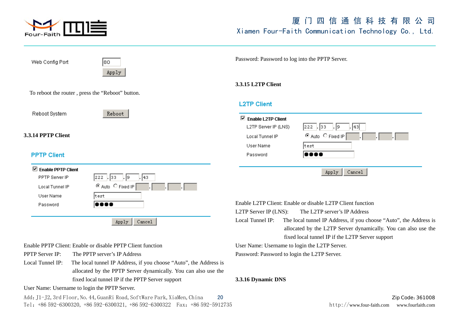

| Web Config Port                                            | 180                                                               | Password: Password to log into the PPTP Server.      |                                                                                                   |
|------------------------------------------------------------|-------------------------------------------------------------------|------------------------------------------------------|---------------------------------------------------------------------------------------------------|
|                                                            | Apply                                                             |                                                      |                                                                                                   |
|                                                            |                                                                   | 3.3.15 L2TP Client                                   |                                                                                                   |
|                                                            | To reboot the router, press the "Reboot" button.                  |                                                      |                                                                                                   |
|                                                            |                                                                   | <b>L2TP Client</b>                                   |                                                                                                   |
| Reboot System                                              | Reboot                                                            |                                                      |                                                                                                   |
|                                                            |                                                                   | $\boxdot$ Enable L2TP Client<br>L2TP Server IP (LNS) |                                                                                                   |
| 3.3.14 PPTP Client                                         |                                                                   | Local Tunnel IP                                      | 222<br> . 33 <br>19<br> 43 <br>⊙ Auto C Fixed IP                                                  |
|                                                            |                                                                   | User Name                                            | test.                                                                                             |
| <b>PPTP Client</b>                                         |                                                                   | Password                                             |                                                                                                   |
|                                                            |                                                                   |                                                      |                                                                                                   |
| $\boxtimes$ Enable PPTP Client                             |                                                                   |                                                      | Apply<br>Cancel                                                                                   |
| PPTP Server IP                                             | $ 222 $ . 33<br> 43<br>19                                         |                                                      |                                                                                                   |
| Local Tunnel IP                                            | ⊙ Auto C Fixed IP                                                 |                                                      |                                                                                                   |
| User Name                                                  | test.                                                             |                                                      |                                                                                                   |
| Password                                                   |                                                                   |                                                      | Enable L2TP Client: Enable or disable L2TP Client function                                        |
|                                                            |                                                                   | L2TP Server IP (LNS):<br>Local Tunnel IP:            | The L2TP server's IP Address<br>The local tunnel IP Address, if you choose "Auto", the Address is |
|                                                            | Cancel<br>Apply                                                   |                                                      | allocated by the L2TP Server dynamically. You can also use the                                    |
|                                                            |                                                                   |                                                      | fixed local tunnel IP if the L2TP Server support                                                  |
| Enable PPTP Client: Enable or disable PPTP Client function |                                                                   |                                                      | User Name: Username to login the L2TP Server.                                                     |
| <b>PPTP Server IP:</b><br>The PPTP server's IP Address     |                                                                   |                                                      | Password: Password to login the L2TP Server.                                                      |
| Local Tunnel IP:                                           | The local tunnel IP Address, if you choose "Auto", the Address is |                                                      |                                                                                                   |
|                                                            | allocated by the PPTP Server dynamically. You can also use the    |                                                      |                                                                                                   |
| fixed local tunnel IP if the PPTP Server support           |                                                                   | 3.3.16 Dynamic DNS                                   |                                                                                                   |
|                                                            | User Name: Username to login the PPTP Server.                     |                                                      |                                                                                                   |

Add: J1-J2, 3rd Floor, No. 44, GuanRi Road, SoftWare Park, XiaMen, China 20 Zip Cole:361008 Zip Code:361008 Tel: +86 592-6300320, +86 592-6300321, +86 592-6300322 Fax: +86 592-5912735 http://www.four-faith.com www.fourfaith.com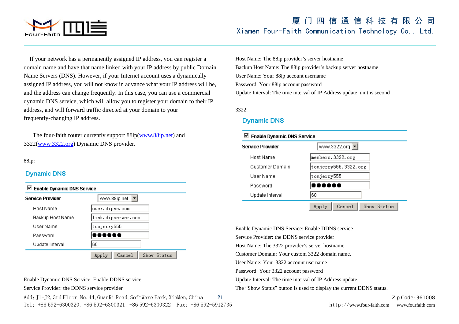

If your network has a permanently assigned IP address, you can register a domain name and have that name linked with your IP address by public Domain Name Servers (DNS). However, if your Internet account uses a dynamically assigned IP address, you will not know in advance what your IP address will be, and the address can change frequently. In this case, you can use a commercial dynamic DNS service, which will allow you to register your domain to their IP address, and will forward traffic directed at your domain to your frequently-changing IP address.

 The four-faith router currently support 88ip(www.88ip.net) and 3322(www.3322.org) Dynamic DNS provider.

#### 88ip:

### **Dynamic DNS**



#### Enable Dynamic DNS Service: Enable DDNS service

Service Provider: the DDNS service provider

Add: J1-J2, 3rd Floor, No. 44, GuanRi Road, SoftWare Park, XiaMen, China 21 Zip Cole:361008 Zip Code:361008 Tel:+86 592-6300320, +86 592-6300321, +86 592-6300322 Fax:+86 592-5912735 http://www.four-faith.com www.fourfaith.com

Host Name: The 88ip provider's server hostname Backup Host Name: The 88ip provider's backup server hostname User Name: Your 88ip account username Password: Your 88ip account password Update Interval: The time interval of IP Address update, unit is second

3322:

### **Dynamic DNS**



Enable Dynamic DNS Service: Enable DDNS service Service Provider: the DDNS service provider Host Name: The 3322 provider's server hostname Customer Domain: Your custom 3322 domain name. User Name: Your 3322 account username Password: Your 3322 account password Update Interval: The time interval of IP Address update. The "Show Status" button is used to display the current DDNS status.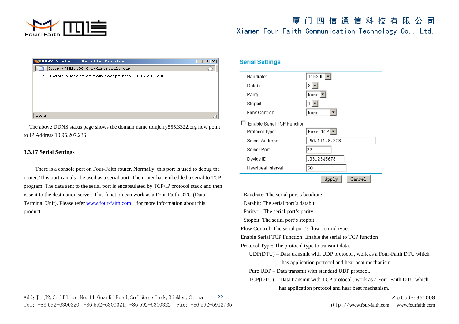

| DDNS Status - Mozilla Firefox<br>ез                   |  |
|-------------------------------------------------------|--|
| http://192.168.0.1/ddnsresult.asp                     |  |
| 3322 update success domain now point to 10.95.207.236 |  |
|                                                       |  |
|                                                       |  |
|                                                       |  |
|                                                       |  |
| Done                                                  |  |

 The above DDNS status page shows the domain name tomjerry555.3322.org now point to IP Address 10.95.207.236

#### **3.3.17 Serial Settings**

There is a console port on Four-Faith router. Normally, this port is used to debug the router. This port can also be used as a serial port. The router has embedded a serial to TCP program. The data sent to the serial port is encapsulated by TCP/IP protocol stack and then is sent to the destination server. This function can work as a Four-Faith DTU (Data Terminal Unit). Please refer www.four-faith.com for more information about this product.

### Add: J1-J2, 3rd Floor, No. 44, GuanRi Road, SoftWare Park, XiaMen, China 22 Zip Code:361008 Zip Code:361008 Tel:+86 592-6300320, +86 592-6300321, +86 592-6300322 Fax:+86 592-5912735 http://www.four-faith.com www.fourfaith.com

### **Serial Settings**



Baudrate: The serial port's baudrate

Databit: The serial port's databit

Parity: The serial port's parity

Stopbit: The serial port's stopbit

Flow Control: The serial port's flow control type.

Enable Serial TCP Function: Enable the serial to TCP function

Protocol Type: The protocol type to transmit data.

 UDP(DTU) – Data transmit with UDP protocol , work as a Four-Faith DTU which has application protocol and hear beat mechanism.

Pure UDP – Data transmit with standard UDP protocol.

 TCP(DTU) -- Data transmit with TCP protocol , work as a Four-Faith DTU which has application protocol and hear beat mechanism.